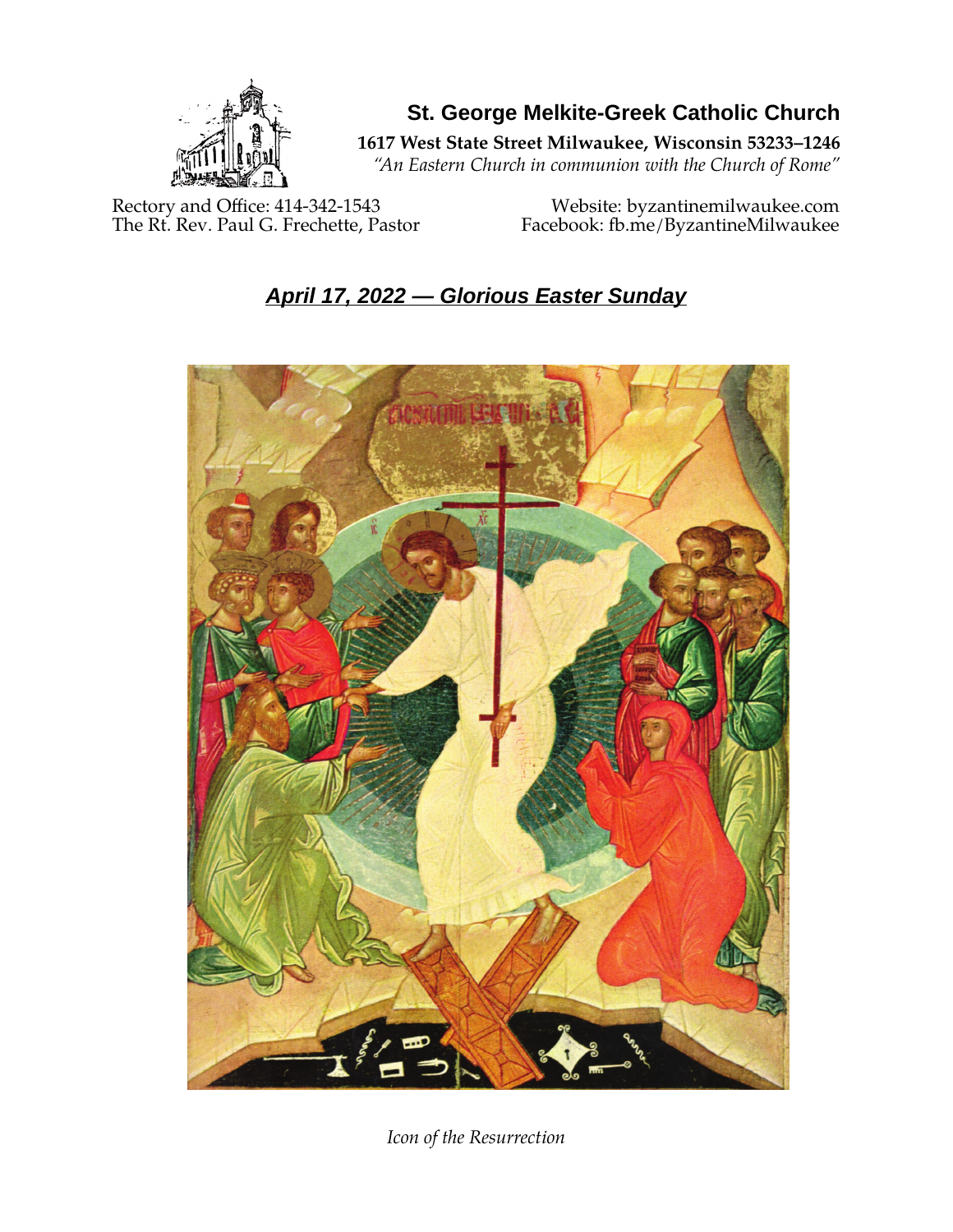

**St. George Melkite-Greek Catholic Church**

**1617 West State Street Milwaukee, Wisconsin 53233–1246**

*"An Eastern Church in communion with the Church of Rome"*

Rectory and Office: 414-342-1543 Website: [byzantinemilwaukee.com](https://byzantinemilwaukee.com/)

The Rt. Rev. Paul G. Frechette, Pastor Facebook: fb.me/ByzantineMilwaukee

# *April 17, 2022 — Glorious Easter Sunday*



*Icon of the Resurrection*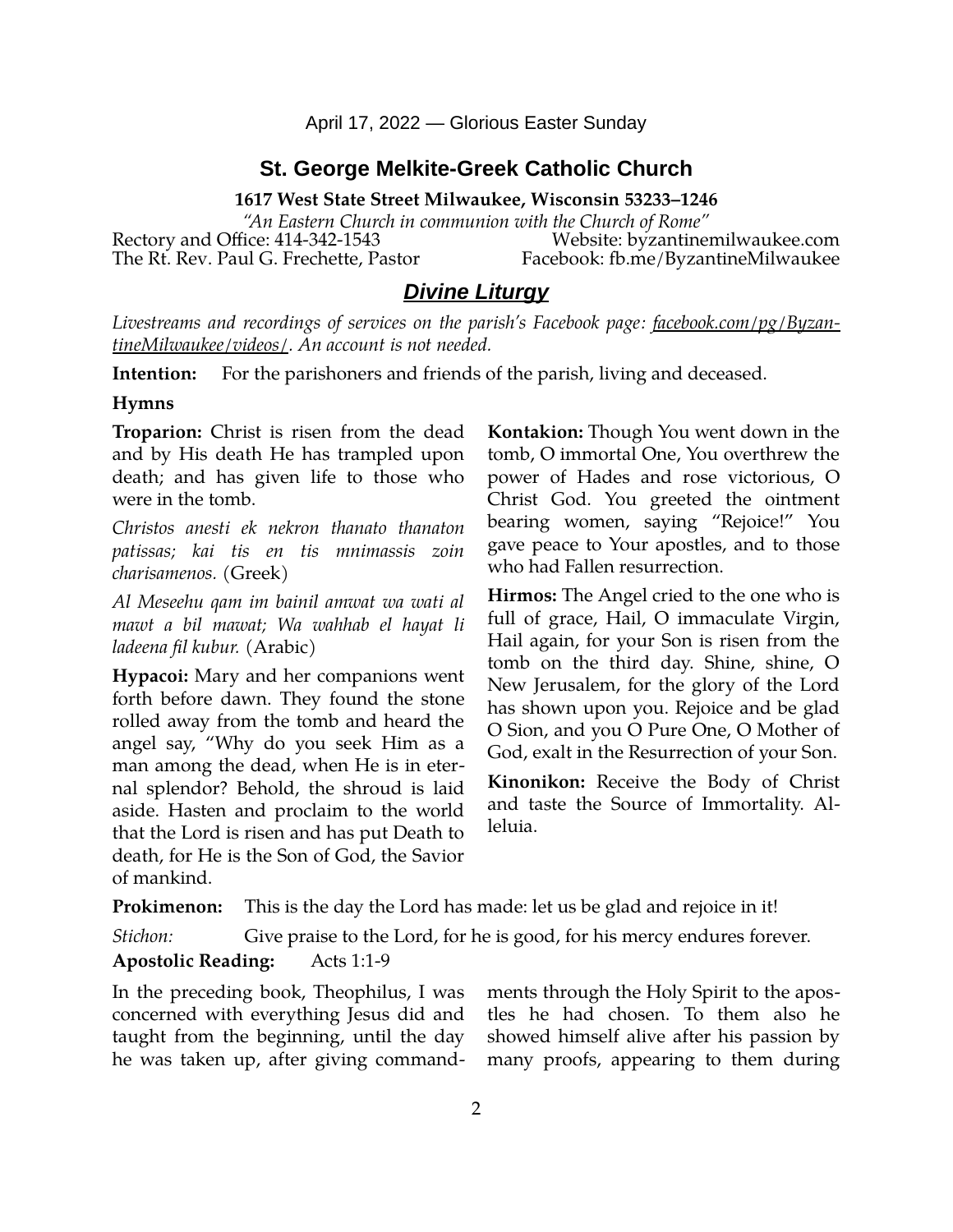April 17, 2022 — Glorious Easter Sunday

### **St. George Melkite-Greek Catholic Church**

**1617 West State Street Milwaukee, Wisconsin 53233–1246**

*"An Eastern Church in communion with the Church of Rome"* Rectory and Office: 414-342-1543 Website: [byzantinemilwaukee.com](https://byzantinemilwaukee.com/)

The Rt. Rev. Paul G. Frechette, Pastor Facebook: fb.me/ByzantineMilwaukee

## *Divine Liturgy*

*Livestreams and recordings of services on the parish's Facebook page: [facebook.com/pg/Byzan](https://www.facebook.com/pg/ByzantineMilwaukee/videos/)[tineMilwaukee/videos/.](https://www.facebook.com/pg/ByzantineMilwaukee/videos/) An account is not needed.*

**Intention:** For the parishoners and friends of the parish, living and deceased.

#### **Hymns**

**Troparion:** Christ is risen from the dead and by His death He has trampled upon death; and has given life to those who were in the tomb.

*Christos anesti ek nekron thanato thanaton patissas; kai tis en tis mnimassis zoin charisamenos.* (Greek)

*Al Meseehu qam im bainil amwat wa wati al mawt a bil mawat; Wa wahhab el hayat li ladeena fil kubur.* (Arabic)

**Hypacoi:** Mary and her companions went forth before dawn. They found the stone rolled away from the tomb and heard the angel say, "Why do you seek Him as a man among the dead, when He is in eternal splendor? Behold, the shroud is laid aside. Hasten and proclaim to the world that the Lord is risen and has put Death to death, for He is the Son of God, the Savior of mankind.

**Kontakion:** Though You went down in the tomb, O immortal One, You overthrew the power of Hades and rose victorious, O Christ God. You greeted the ointment bearing women, saying "Rejoice!" You gave peace to Your apostles, and to those who had Fallen resurrection.

**Hirmos:** The Angel cried to the one who is full of grace, Hail, O immaculate Virgin, Hail again, for your Son is risen from the tomb on the third day. Shine, shine, O New Jerusalem, for the glory of the Lord has shown upon you. Rejoice and be glad O Sion, and you O Pure One, O Mother of God, exalt in the Resurrection of your Son.

**Kinonikon:** Receive the Body of Christ and taste the Source of Immortality. Alleluia.

**Prokimenon:** This is the day the Lord has made: let us be glad and rejoice in it!

*Stichon:* Give praise to the Lord, for he is good, for his mercy endures forever.

#### **Apostolic Reading:** Acts 1:1-9

In the preceding book, Theophilus, I was concerned with everything Jesus did and taught from the beginning, until the day he was taken up, after giving commandments through the Holy Spirit to the apostles he had chosen. To them also he showed himself alive after his passion by many proofs, appearing to them during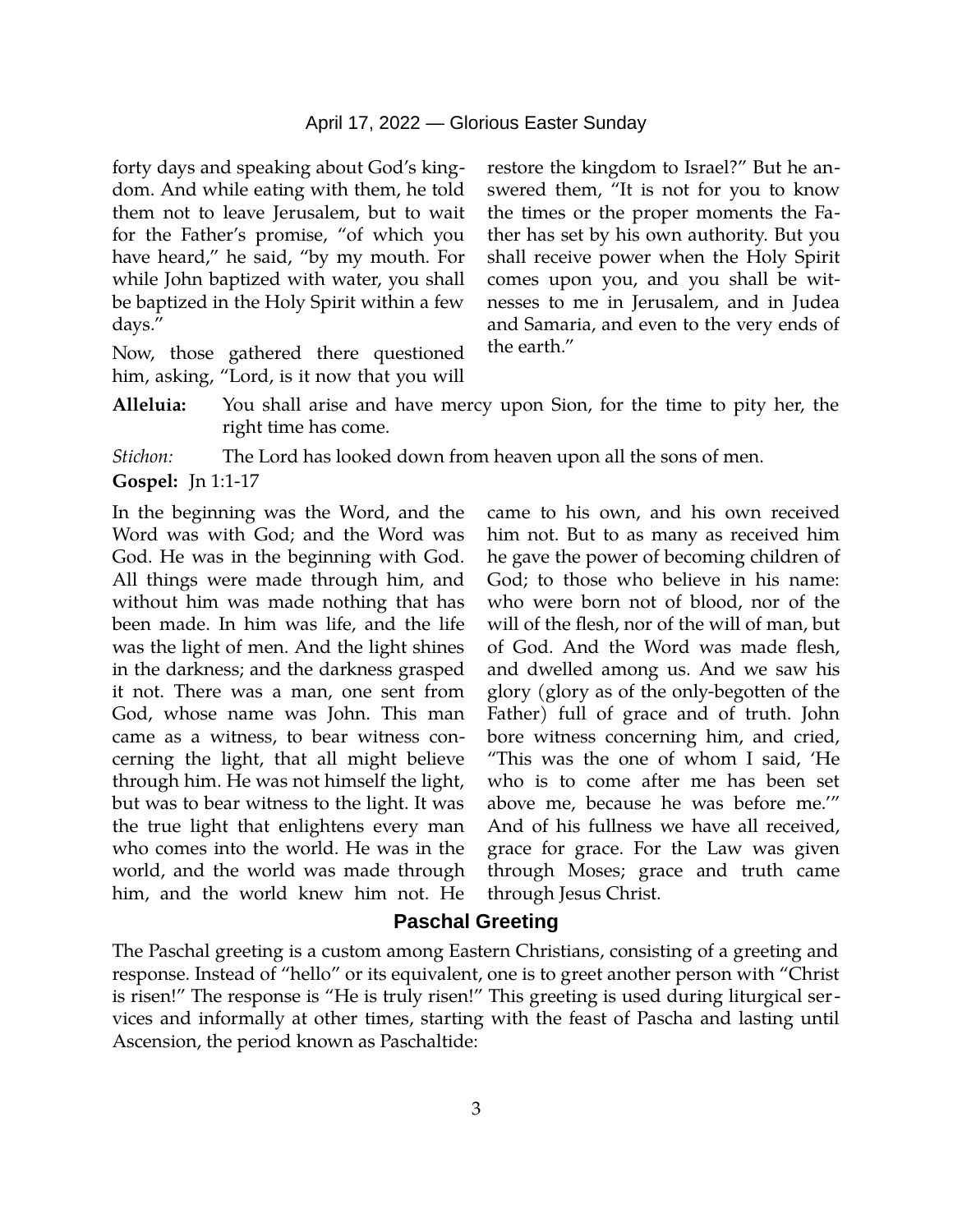forty days and speaking about God's kingdom. And while eating with them, he told them not to leave Jerusalem, but to wait for the Father's promise, "of which you have heard," he said, "by my mouth. For while John baptized with water, you shall be baptized in the Holy Spirit within a few days."

Now, those gathered there questioned him, asking, "Lord, is it now that you will restore the kingdom to Israel?" But he answered them, "It is not for you to know the times or the proper moments the Father has set by his own authority. But you shall receive power when the Holy Spirit comes upon you, and you shall be witnesses to me in Jerusalem, and in Judea and Samaria, and even to the very ends of the earth."

**Alleluia:** You shall arise and have mercy upon Sion, for the time to pity her, the right time has come.

*Stichon:* The Lord has looked down from heaven upon all the sons of men.

In the beginning was the Word, and the Word was with God; and the Word was God. He was in the beginning with God. All things were made through him, and without him was made nothing that has been made. In him was life, and the life was the light of men. And the light shines in the darkness; and the darkness grasped it not. There was a man, one sent from God, whose name was John. This man came as a witness, to bear witness concerning the light, that all might believe through him. He was not himself the light, but was to bear witness to the light. It was the true light that enlightens every man who comes into the world. He was in the world, and the world was made through him, and the world knew him not. He

came to his own, and his own received him not. But to as many as received him he gave the power of becoming children of God; to those who believe in his name: who were born not of blood, nor of the will of the flesh, nor of the will of man, but of God. And the Word was made flesh, and dwelled among us. And we saw his glory (glory as of the only-begotten of the Father) full of grace and of truth. John bore witness concerning him, and cried, "This was the one of whom I said, 'He who is to come after me has been set above me, because he was before me.'" And of his fullness we have all received, grace for grace. For the Law was given through Moses; grace and truth came through Jesus Christ.

#### **Paschal Greeting**

The Paschal greeting is a custom among Eastern Christians, consisting of a greeting and response. Instead of "hello" or its equivalent, one is to greet another person with "Christ is risen!" The response is "He is truly risen!" This greeting is used during liturgical services and informally at other times, starting with the feast of Pascha and lasting until Ascension, the period known as Paschaltide:

**Gospel:** Jn 1:1-17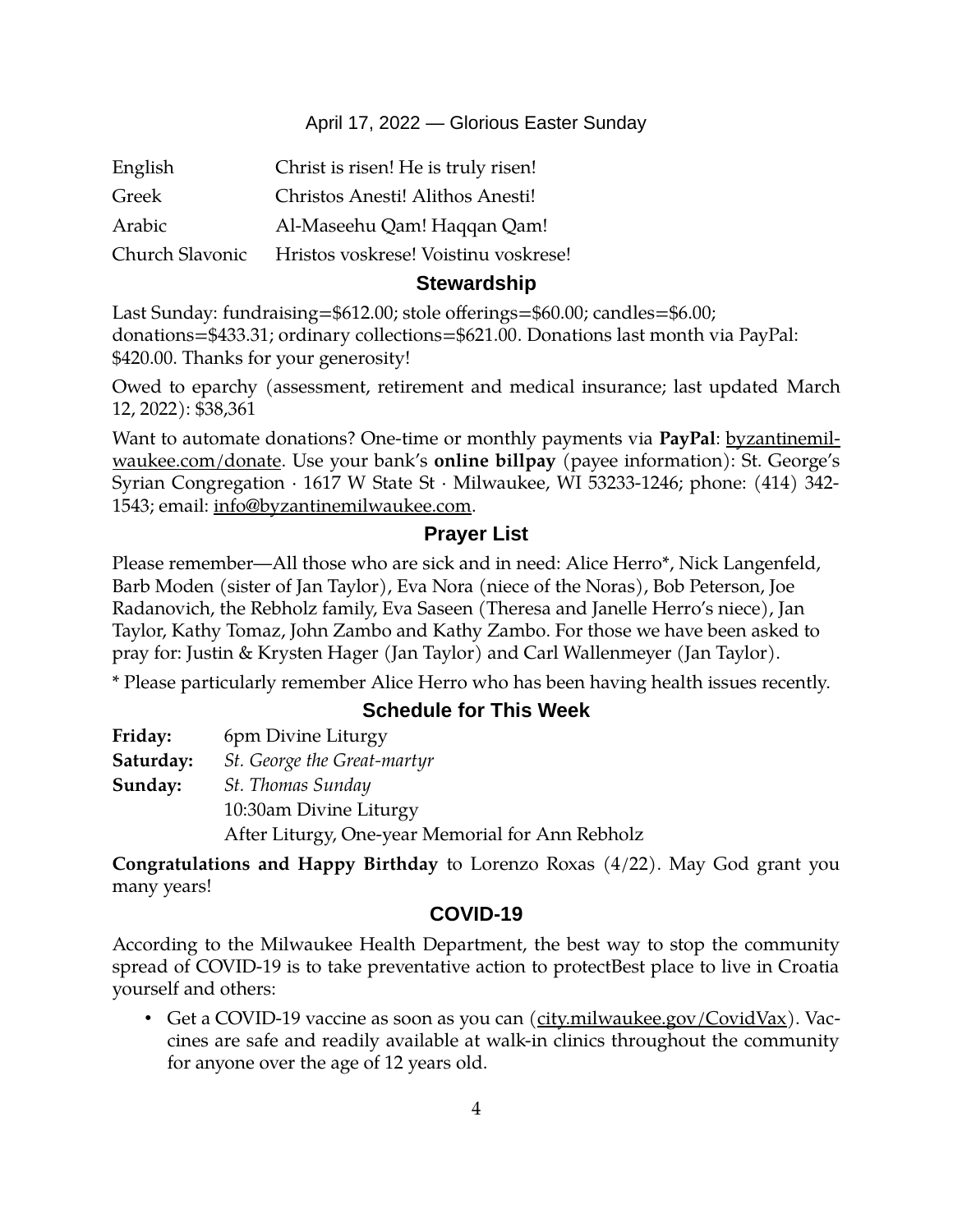## April 17, 2022 — Glorious Easter Sunday

| English         | Christ is risen! He is truly risen!  |
|-----------------|--------------------------------------|
| Greek           | Christos Anesti! Alithos Anesti!     |
| Arabic          | Al-Maseehu Qam! Haqqan Qam!          |
| Church Slavonic | Hristos voskrese! Voistinu voskrese! |
|                 |                                      |

## **Stewardship**

Last Sunday: fundraising=\$612.00; stole offerings=\$60.00; candles=\$6.00; donations=\$433.31; ordinary collections=\$621.00. Donations last month via PayPal: \$420.00. Thanks for your generosity!

Owed to eparchy (assessment, retirement and medical insurance; last updated March 12, 2022): \$38,361

Want to automate donations? One-time or monthly payments via **PayPal**: [byzantinemil](https://byzantinemilwaukee.com/donate/)[waukee.com/donate.](https://byzantinemilwaukee.com/donate/) Use your bank's **online billpay** (payee information): St. George's Syrian Congregation · 1617 W State St · Milwaukee, WI 53233-1246; phone: (414) 342- 1543; email: [info@byzantinemilwaukee.com](mailto:info@byzantinemilwaukee.com).

# **Prayer List**

Please remember—All those who are sick and in need: Alice Herro\*, Nick Langenfeld, Barb Moden (sister of Jan Taylor), Eva Nora (niece of the Noras), Bob Peterson, Joe Radanovich, the Rebholz family, Eva Saseen (Theresa and Janelle Herro's niece), Jan Taylor, Kathy Tomaz, John Zambo and Kathy Zambo. For those we have been asked to pray for: Justin & Krysten Hager (Jan Taylor) and Carl Wallenmeyer (Jan Taylor).

\* Please particularly remember Alice Herro who has been having health issues recently.

# **Schedule for This Week**

| Friday:   | 6pm Divine Liturgy                               |
|-----------|--------------------------------------------------|
| Saturday: | St. George the Great-martyr                      |
| Sunday:   | St. Thomas Sunday                                |
|           | 10:30am Divine Liturgy                           |
|           | After Liturgy, One-year Memorial for Ann Rebholz |

**Congratulations and Happy Birthday** to Lorenzo Roxas (4/22). May God grant you many years!

## **[COVID-19](mailto:j1ordan2000@yahoo.com)**

According to the Milwaukee Health Department, the best way to stop the community spread of COVID-19 is to take preventative action to protectBest place to live in Croatia yourself and others:

• Get a COVID-19 vaccine as soon as you can [\(city.milwaukee.gov/CovidVax\)](https://city.milwaukee.gov/CovidVax). Vaccines are safe and readily available at walk-in clinics throughout the community for anyone over the age of 12 years old.